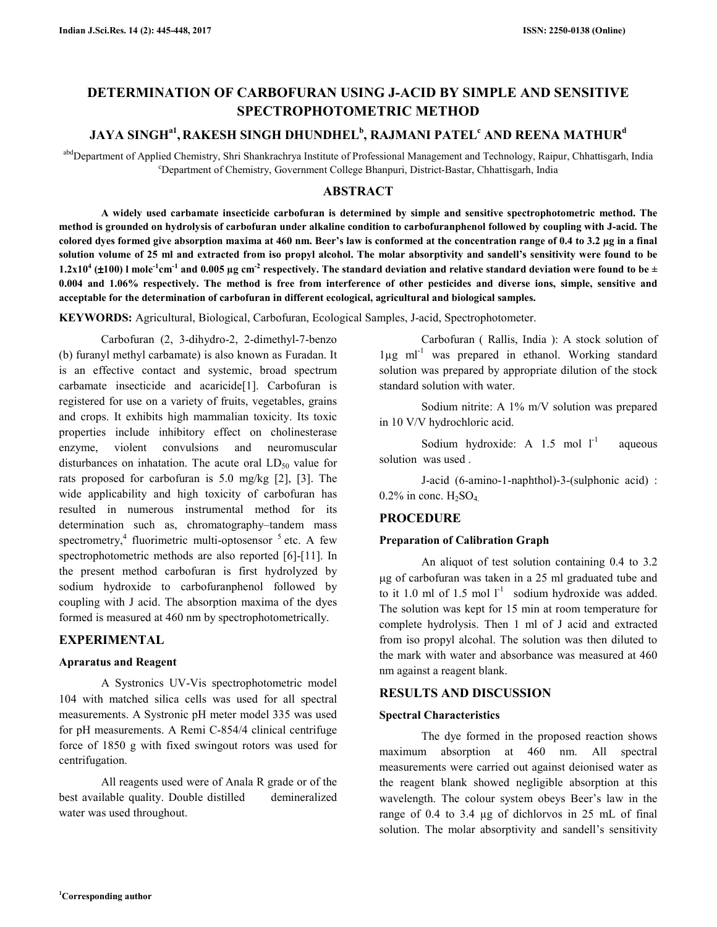# **DETERMINATION OF CARBOFURAN USING J-ACID BY SIMPLE AND SENSITIVE SPECTROPHOTOMETRIC METHOD**

## **JAYA SINGHa1 , RAKESH SINGH DHUNDHEL<sup>b</sup> , RAJMANI PATEL<sup>c</sup> AND REENA MATHUR<sup>d</sup>**

abdDepartment of Applied Chemistry, Shri Shankrachrya Institute of Professional Management and Technology, Raipur, Chhattisgarh, India <sup>c</sup>Department of Chemistry, Government College Bhanpuri, District-Bastar, Chhattisgarh, India

## **ABSTRACT**

 **A widely used carbamate insecticide carbofuran is determined by simple and sensitive spectrophotometric method. The method is grounded on hydrolysis of carbofuran under alkaline condition to carbofuranphenol followed by coupling with J-acid. The colored dyes formed give absorption maxima at 460 nm. Beer's law is conformed at the concentration range of 0.4 to 3.2 µg in a final solution volume of 25 ml and extracted from iso propyl alcohol. The molar absorptivity and sandell's sensitivity were found to be**   $1.2x10^4$  ( $\pm 100$ ) l mole<sup>-1</sup>cm<sup>-1</sup> and 0.005 µg cm<sup>-2</sup> respectively. The standard deviation and relative standard deviation were found to be  $\pm$ **0.004 and 1.06% respectively. The method is free from interference of other pesticides and diverse ions, simple, sensitive and acceptable for the determination of carbofuran in different ecological, agricultural and biological samples.** 

**KEYWORDS:** Agricultural, Biological, Carbofuran, Ecological Samples, J-acid, Spectrophotometer.

 Carbofuran (2, 3-dihydro-2, 2-dimethyl-7-benzo (b) furanyl methyl carbamate) is also known as Furadan. It is an effective contact and systemic, broad spectrum carbamate insecticide and acaricide[1]. Carbofuran is registered for use on a variety of fruits, vegetables, grains and crops. It exhibits high mammalian toxicity. Its toxic properties include inhibitory effect on cholinesterase enzyme, violent convulsions and neuromuscular disturbances on inhatation. The acute oral  $LD_{50}$  value for rats proposed for carbofuran is 5.0 mg/kg [2], [3]. The wide applicability and high toxicity of carbofuran has resulted in numerous instrumental method for its determination such as, chromatography–tandem mass spectrometry,<sup>4</sup> fluorimetric multi-optosensor  $5$  etc. A few spectrophotometric methods are also reported [6]-[11]. In the present method carbofuran is first hydrolyzed by sodium hydroxide to carbofuranphenol followed by coupling with J acid. The absorption maxima of the dyes formed is measured at 460 nm by spectrophotometrically.

## **EXPERIMENTAL**

## **Apraratus and Reagent**

 A Systronics UV-Vis spectrophotometric model 104 with matched silica cells was used for all spectral measurements. A Systronic pH meter model 335 was used for pH measurements. A Remi C-854/4 clinical centrifuge force of 1850 g with fixed swingout rotors was used for centrifugation.

 All reagents used were of Anala R grade or of the best available quality. Double distilled demineralized water was used throughout.

 Carbofuran ( Rallis, India ): A stock solution of  $1\mu$ g ml<sup>-1</sup> was prepared in ethanol. Working standard solution was prepared by appropriate dilution of the stock standard solution with water.

 Sodium nitrite: A 1% m/V solution was prepared in 10 V/V hydrochloric acid.

Sodium hydroxide: A 1.5 mol  $1^{-1}$ aqueous solution was used .

 J-acid (6-amino-1-naphthol)-3-(sulphonic acid) :  $0.2\%$  in conc.  $H_2SO_4$ .

## **PROCEDURE**

## **Preparation of Calibration Graph**

An aliquot of test solution containing 0.4 to 3.2 µg of carbofuran was taken in a 25 ml graduated tube and to it 1.0 ml of 1.5 mol  $l^{-1}$  sodium hydroxide was added. The solution was kept for 15 min at room temperature for complete hydrolysis. Then 1 ml of J acid and extracted from iso propyl alcohal. The solution was then diluted to the mark with water and absorbance was measured at 460 nm against a reagent blank.

## **RESULTS AND DISCUSSION**

## **Spectral Characteristics**

 The dye formed in the proposed reaction shows maximum absorption at 460 nm. All spectral measurements were carried out against deionised water as the reagent blank showed negligible absorption at this wavelength. The colour system obeys Beer's law in the range of 0.4 to 3.4 µg of dichlorvos in 25 mL of final solution. The molar absorptivity and sandell's sensitivity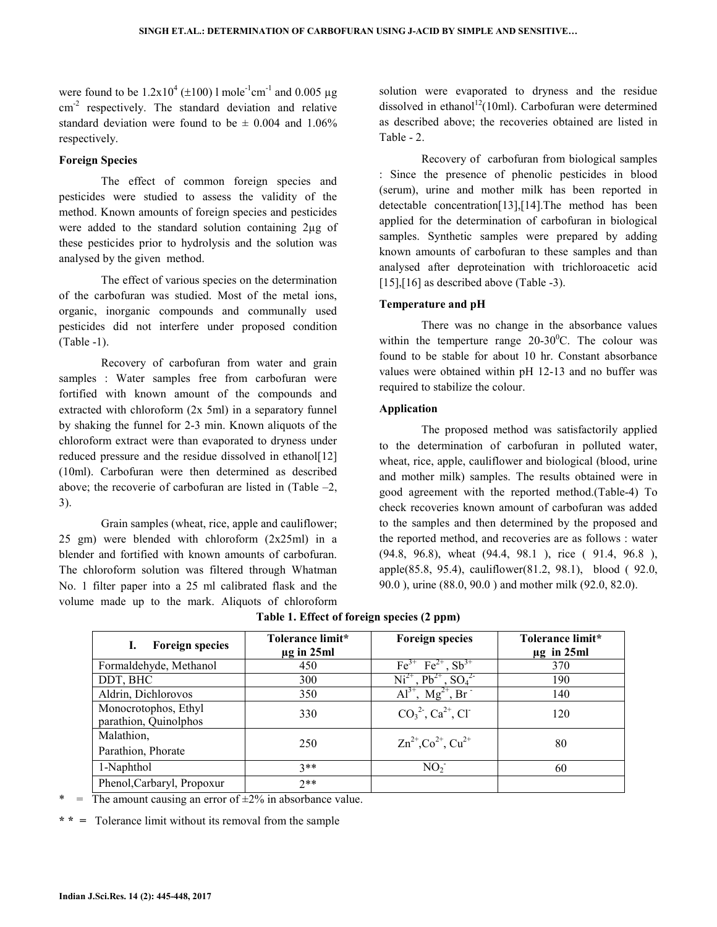were found to be  $1.2x10^4 \, (\pm 100) 1 \, \text{mole}^{-1} \text{cm}^{-1}$  and  $0.005 \, \mu \text{g}$ cm-2 respectively. The standard deviation and relative standard deviation were found to be  $\pm$  0.004 and 1.06% respectively.

#### **Foreign Species**

 The effect of common foreign species and pesticides were studied to assess the validity of the method. Known amounts of foreign species and pesticides were added to the standard solution containing 2µg of these pesticides prior to hydrolysis and the solution was analysed by the given method.

 The effect of various species on the determination of the carbofuran was studied. Most of the metal ions, organic, inorganic compounds and communally used pesticides did not interfere under proposed condition (Table -1).

 Recovery of carbofuran from water and grain samples : Water samples free from carbofuran were fortified with known amount of the compounds and extracted with chloroform (2x 5ml) in a separatory funnel by shaking the funnel for 2-3 min. Known aliquots of the chloroform extract were than evaporated to dryness under reduced pressure and the residue dissolved in ethanol[12] (10ml). Carbofuran were then determined as described above; the recoverie of carbofuran are listed in (Table  $-2$ , 3).

 Grain samples (wheat, rice, apple and cauliflower; 25 gm) were blended with chloroform (2x25ml) in a blender and fortified with known amounts of carbofuran. The chloroform solution was filtered through Whatman No. 1 filter paper into a 25 ml calibrated flask and the volume made up to the mark. Aliquots of chloroform solution were evaporated to dryness and the residue dissolved in ethanol<sup>12</sup>(10ml). Carbofuran were determined as described above; the recoveries obtained are listed in Table - 2.

 Recovery of carbofuran from biological samples : Since the presence of phenolic pesticides in blood (serum), urine and mother milk has been reported in detectable concentration[13],[14].The method has been applied for the determination of carbofuran in biological samples. Synthetic samples were prepared by adding known amounts of carbofuran to these samples and than analysed after deproteination with trichloroacetic acid [15],[16] as described above (Table -3).

#### **Temperature and pH**

There was no change in the absorbance values within the temperture range  $20-30^{\circ}$ C. The colour was found to be stable for about 10 hr. Constant absorbance values were obtained within pH 12-13 and no buffer was required to stabilize the colour.

#### **Application**

 The proposed method was satisfactorily applied to the determination of carbofuran in polluted water, wheat, rice, apple, cauliflower and biological (blood, urine and mother milk) samples. The results obtained were in good agreement with the reported method.(Table-4) To check recoveries known amount of carbofuran was added to the samples and then determined by the proposed and the reported method, and recoveries are as follows : water (94.8, 96.8), wheat (94.4, 98.1 ), rice ( 91.4, 96.8 ), apple(85.8, 95.4), cauliflower(81.2, 98.1), blood ( 92.0, 90.0 ), urine (88.0, 90.0 ) and mother milk (92.0, 82.0).

| <b>Foreign species</b>                        | Tolerance limit*<br>$\mu$ g in 25ml | <b>Foreign species</b>                                 | Tolerance limit*<br>$\mu$ g in 25ml |
|-----------------------------------------------|-------------------------------------|--------------------------------------------------------|-------------------------------------|
| Formaldehyde, Methanol                        | 450                                 | $\overline{Fe^{3+}}$ $Fe^{2+}$ , $Sb^{3+}$             | 370                                 |
| DDT, BHC                                      | 300                                 | $Ni^{2+}$ , $Pb^{2+}$ , $SO_4^{2-}$                    | 190                                 |
| Aldrin, Dichlorovos                           | 350                                 | $Al^{3+}$ , $Mg^{2+}$ , Br                             | 140                                 |
| Monocrotophos, Ethyl<br>parathion, Quinolphos | 330                                 | $CO32$ , $Ca2+$ , Cl <sup>-</sup>                      | 120                                 |
| Malathion,<br>Parathion, Phorate              | 250                                 | $\text{Zn}^{2+}$ , $\text{Co}^{2+}$ , $\text{Cu}^{2+}$ | 80                                  |
| 1-Naphthol                                    | $3**$                               | NO <sub>2</sub>                                        | 60                                  |
| Phenol, Carbaryl, Propoxur                    | $2**$                               |                                                        |                                     |

**Table 1. Effect of foreign species (2 ppm)** 

\* = The amount causing an error of  $\pm 2\%$  in absorbance value.

**\* \* =** Tolerance limit without its removal from the sample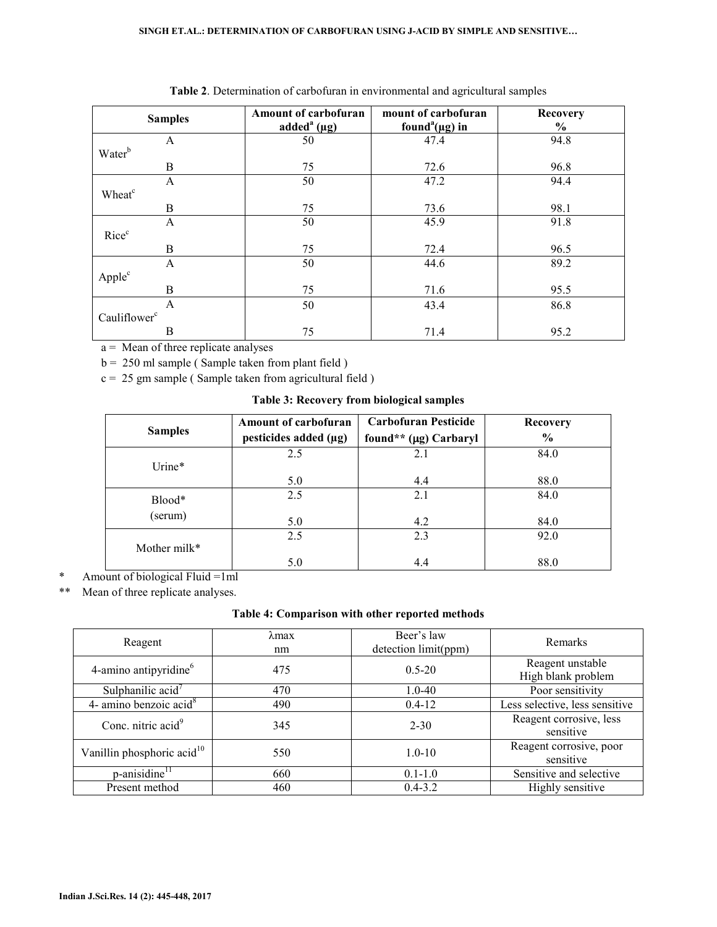#### **SINGH ET.AL.: DETERMINATION OF CARBOFURAN USING J-ACID BY SIMPLE AND SENSITIVE…**

| <b>Samples</b>           | Amount of carbofuran          | mount of carbofuran              | <b>Recovery</b> |  |
|--------------------------|-------------------------------|----------------------------------|-----------------|--|
|                          | added <sup>a</sup> ( $\mu$ g) | found <sup>a</sup> ( $\mu$ g) in | $\%$            |  |
| A                        | 50                            | 47.4                             | 94.8            |  |
| Water <sup>b</sup>       |                               |                                  |                 |  |
| B                        | 75                            | 72.6                             | 96.8            |  |
| A                        | 50                            | 47.2                             | 94.4            |  |
| Wheat <sup>c</sup>       |                               |                                  |                 |  |
| B                        | 75                            | 73.6                             | 98.1            |  |
| A                        | 50                            | 45.9                             | 91.8            |  |
| Rice <sup>c</sup>        |                               |                                  |                 |  |
| B                        | 75                            | 72.4                             | 96.5            |  |
| A                        | 50                            | 44.6                             | 89.2            |  |
| Apple <sup>c</sup>       |                               |                                  |                 |  |
| B                        | 75                            | 71.6                             | 95.5            |  |
| A                        | 50                            | 43.4                             | 86.8            |  |
| Cauliflower <sup>c</sup> |                               |                                  |                 |  |
| B                        | 75                            | 71.4                             | 95.2            |  |

|  |  | Table 2. Determination of carbofuran in environmental and agricultural samples |  |  |
|--|--|--------------------------------------------------------------------------------|--|--|
|  |  |                                                                                |  |  |

a = Mean of three replicate analyses

b = 250 ml sample ( Sample taken from plant field )

c = 25 gm sample ( Sample taken from agricultural field )

## **Table 3: Recovery from biological samples**

|                | <b>Amount of carbofuran</b> | <b>Carbofuran Pesticide</b> | <b>Recovery</b> |  |
|----------------|-----------------------------|-----------------------------|-----------------|--|
| <b>Samples</b> | pesticides added (µg)       | found** $(\mu g)$ Carbaryl  | $\frac{0}{0}$   |  |
| $U$ rine $*$   | 2.5                         | 2.1                         | 84.0            |  |
|                | 5.0                         | 4.4                         | 88.0            |  |
| Blood*         | 2.5                         | 2.1                         | 84.0            |  |
| (serum)        | 5.0                         | 4.2                         | 84.0            |  |
| Mother milk*   | 2.5                         | 2.3                         | 92.0            |  |
|                | 5.0                         | 4.4                         | 88.0            |  |

\* Amount of biological Fluid =1ml

\*\* Mean of three replicate analyses.

**Table 4: Comparison with other reported methods** 

| Reagent                                | $\lambda$ max<br>nm | Beer's law<br>detection limit(ppm) | <b>Remarks</b>                         |
|----------------------------------------|---------------------|------------------------------------|----------------------------------------|
| 4-amino antipyridine <sup>6</sup>      | 475                 | $0.5 - 20$                         | Reagent unstable<br>High blank problem |
| Sulphanilic $acid7$                    | 470                 | $1.0 - 40$                         | Poor sensitivity                       |
| 4- amino benzoic $\text{acid}^8$       | 490                 | $0.4 - 12$                         | Less selective, less sensitive         |
| Conc. nitric $\alpha$ cid $\beta$      | 345                 | $2 - 30$                           | Reagent corrosive, less<br>sensitive   |
| Vanillin phosphoric acid <sup>10</sup> | 550                 | $1.0 - 10$                         | Reagent corrosive, poor<br>sensitive   |
| p-anisidine <sup>11</sup>              | 660                 | $0.1 - 1.0$                        | Sensitive and selective                |
| Present method                         | 460                 | $0.4 - 3.2$                        | Highly sensitive                       |